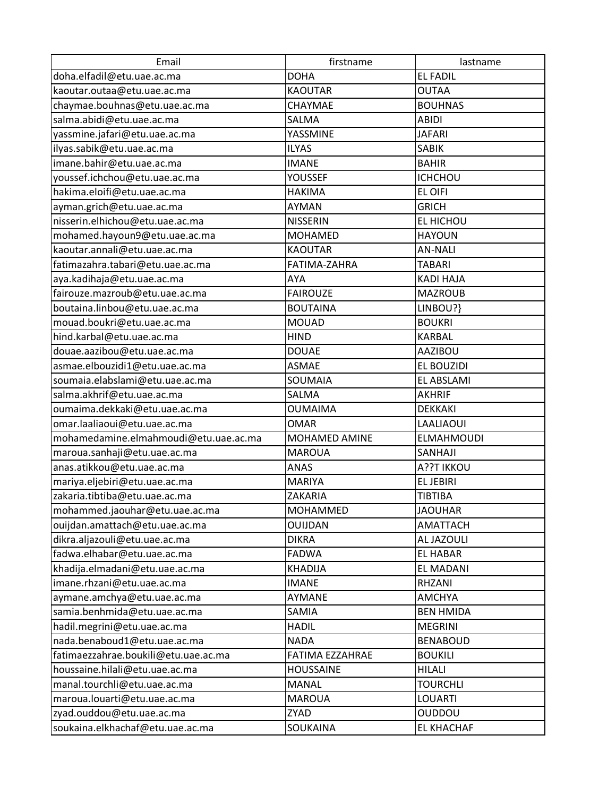| Email                                 | firstname        | lastname          |
|---------------------------------------|------------------|-------------------|
| doha.elfadil@etu.uae.ac.ma            | <b>DOHA</b>      | <b>EL FADIL</b>   |
| kaoutar.outaa@etu.uae.ac.ma           | <b>KAOUTAR</b>   | <b>OUTAA</b>      |
| chaymae.bouhnas@etu.uae.ac.ma         | CHAYMAE          | <b>BOUHNAS</b>    |
| salma.abidi@etu.uae.ac.ma             | SALMA            | <b>ABIDI</b>      |
| yassmine.jafari@etu.uae.ac.ma         | YASSMINE         | <b>JAFARI</b>     |
| ilyas.sabik@etu.uae.ac.ma             | <b>ILYAS</b>     | <b>SABIK</b>      |
| imane.bahir@etu.uae.ac.ma             | <b>IMANE</b>     | <b>BAHIR</b>      |
| youssef.ichchou@etu.uae.ac.ma         | YOUSSEF          | <b>ICHCHOU</b>    |
| hakima.eloifi@etu.uae.ac.ma           | <b>HAKIMA</b>    | EL OIFI           |
| ayman.grich@etu.uae.ac.ma             | <b>AYMAN</b>     | <b>GRICH</b>      |
| nisserin.elhichou@etu.uae.ac.ma       | <b>NISSERIN</b>  | EL HICHOU         |
| mohamed.hayoun9@etu.uae.ac.ma         | <b>MOHAMED</b>   | <b>HAYOUN</b>     |
| kaoutar.annali@etu.uae.ac.ma          | <b>KAOUTAR</b>   | <b>AN-NALI</b>    |
| fatimazahra.tabari@etu.uae.ac.ma      | FATIMA-ZAHRA     | <b>TABARI</b>     |
| aya.kadihaja@etu.uae.ac.ma            | AYA              | <b>KADI HAJA</b>  |
| fairouze.mazroub@etu.uae.ac.ma        | <b>FAIROUZE</b>  | <b>MAZROUB</b>    |
| boutaina.linbou@etu.uae.ac.ma         | <b>BOUTAINA</b>  | LINBOU?}          |
| mouad.boukri@etu.uae.ac.ma            | <b>MOUAD</b>     | <b>BOUKRI</b>     |
| hind.karbal@etu.uae.ac.ma             | <b>HIND</b>      | <b>KARBAL</b>     |
| douae.aazibou@etu.uae.ac.ma           | <b>DOUAE</b>     | <b>AAZIBOU</b>    |
| asmae.elbouzidi1@etu.uae.ac.ma        | <b>ASMAE</b>     | EL BOUZIDI        |
| soumaia.elabslami@etu.uae.ac.ma       | SOUMAIA          | EL ABSLAMI        |
| salma.akhrif@etu.uae.ac.ma            | SALMA            | <b>AKHRIF</b>     |
| oumaima.dekkaki@etu.uae.ac.ma         | <b>OUMAIMA</b>   | <b>DEKKAKI</b>    |
| omar.laaliaoui@etu.uae.ac.ma          | OMAR             | LAALIAOUI         |
| mohamedamine.elmahmoudi@etu.uae.ac.ma | MOHAMED AMINE    | <b>ELMAHMOUDI</b> |
| maroua.sanhaji@etu.uae.ac.ma          | <b>MAROUA</b>    | SANHAJI           |
| anas.atikkou@etu.uae.ac.ma            | <b>ANAS</b>      | A??T IKKOU        |
| mariya.eljebiri@etu.uae.ac.ma         | <b>MARIYA</b>    | <b>ELJEBIRI</b>   |
| zakaria.tibtiba@etu.uae.ac.ma         | ZAKARIA          | <b>TIBTIBA</b>    |
| mohammed.jaouhar@etu.uae.ac.ma        | MOHAMMED         | <b>JAOUHAR</b>    |
| ouijdan.amattach@etu.uae.ac.ma        | OUIJDAN          | AMATTACH          |
| dikra.aljazouli@etu.uae.ac.ma         | <b>DIKRA</b>     | AL JAZOULI        |
| fadwa.elhabar@etu.uae.ac.ma           | <b>FADWA</b>     | EL HABAR          |
| khadija.elmadani@etu.uae.ac.ma        | <b>KHADIJA</b>   | <b>EL MADANI</b>  |
| imane.rhzani@etu.uae.ac.ma            | <b>IMANE</b>     | RHZANI            |
| aymane.amchya@etu.uae.ac.ma           | <b>AYMANE</b>    | <b>AMCHYA</b>     |
| samia.benhmida@etu.uae.ac.ma          | SAMIA            | <b>BEN HMIDA</b>  |
| hadil.megrini@etu.uae.ac.ma           | <b>HADIL</b>     | <b>MEGRINI</b>    |
| nada.benaboud1@etu.uae.ac.ma          | <b>NADA</b>      | <b>BENABOUD</b>   |
| fatimaezzahrae.boukili@etu.uae.ac.ma  | FATIMA EZZAHRAE  | <b>BOUKILI</b>    |
| houssaine.hilali@etu.uae.ac.ma        | <b>HOUSSAINE</b> | <b>HILALI</b>     |
| manal.tourchli@etu.uae.ac.ma          | <b>MANAL</b>     | <b>TOURCHLI</b>   |
| maroua.louarti@etu.uae.ac.ma          | <b>MAROUA</b>    | <b>LOUARTI</b>    |
| zyad.ouddou@etu.uae.ac.ma             | ZYAD             | <b>OUDDOU</b>     |
| soukaina.elkhachaf@etu.uae.ac.ma      | SOUKAINA         | <b>EL KHACHAF</b> |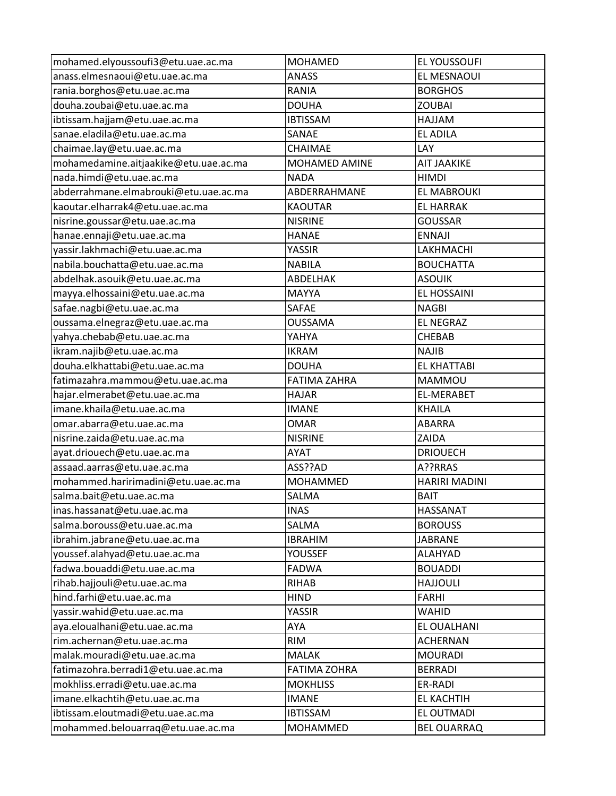| mohamed.elyoussoufi3@etu.uae.ac.ma    | <b>MOHAMED</b>      | EL YOUSSOUFI         |
|---------------------------------------|---------------------|----------------------|
| anass.elmesnaoui@etu.uae.ac.ma        | <b>ANASS</b>        | EL MESNAOUI          |
| rania.borghos@etu.uae.ac.ma           | RANIA               | <b>BORGHOS</b>       |
| douha.zoubai@etu.uae.ac.ma            | <b>DOUHA</b>        | <b>ZOUBAI</b>        |
| ibtissam.hajjam@etu.uae.ac.ma         | <b>IBTISSAM</b>     | <b>MALLAH</b>        |
| sanae.eladila@etu.uae.ac.ma           | SANAE               | <b>EL ADILA</b>      |
| chaimae.lay@etu.uae.ac.ma             | CHAIMAE             | LAY                  |
| mohamedamine.aitjaakike@etu.uae.ac.ma | MOHAMED AMINE       | <b>AIT JAAKIKE</b>   |
| nada.himdi@etu.uae.ac.ma              | <b>NADA</b>         | <b>HIMDI</b>         |
| abderrahmane.elmabrouki@etu.uae.ac.ma | ABDERRAHMANE        | <b>EL MABROUKI</b>   |
| kaoutar.elharrak4@etu.uae.ac.ma       | <b>KAOUTAR</b>      | <b>EL HARRAK</b>     |
| nisrine.goussar@etu.uae.ac.ma         | <b>NISRINE</b>      | <b>GOUSSAR</b>       |
| hanae.ennaji@etu.uae.ac.ma            | <b>HANAE</b>        | <b>ENNAJI</b>        |
| yassir.lakhmachi@etu.uae.ac.ma        | YASSIR              | LAKHMACHI            |
| nabila.bouchatta@etu.uae.ac.ma        | <b>NABILA</b>       | <b>BOUCHATTA</b>     |
| abdelhak.asouik@etu.uae.ac.ma         | ABDELHAK            | <b>ASOUIK</b>        |
| mayya.elhossaini@etu.uae.ac.ma        | <b>MAYYA</b>        | EL HOSSAINI          |
| safae.nagbi@etu.uae.ac.ma             | <b>SAFAE</b>        | <b>NAGBI</b>         |
| oussama.elnegraz@etu.uae.ac.ma        | <b>OUSSAMA</b>      | <b>EL NEGRAZ</b>     |
| yahya.chebab@etu.uae.ac.ma            | YAHYA               | CHEBAB               |
| ikram.najib@etu.uae.ac.ma             | <b>IKRAM</b>        | <b>NAJIB</b>         |
| douha.elkhattabi@etu.uae.ac.ma        | <b>DOUHA</b>        | <b>EL KHATTABI</b>   |
| fatimazahra.mammou@etu.uae.ac.ma      | <b>FATIMA ZAHRA</b> | MAMMOU               |
| hajar.elmerabet@etu.uae.ac.ma         | HAJAR               | <b>EL-MERABET</b>    |
| imane.khaila@etu.uae.ac.ma            | <b>IMANE</b>        | KHAILA               |
| omar.abarra@etu.uae.ac.ma             | <b>OMAR</b>         | <b>ABARRA</b>        |
| nisrine.zaida@etu.uae.ac.ma           | <b>NISRINE</b>      | ZAIDA                |
| ayat.driouech@etu.uae.ac.ma           | AYAT                | <b>DRIOUECH</b>      |
| assaad.aarras@etu.uae.ac.ma           | ASS??AD             | A??RRAS              |
| mohammed.haririmadini@etu.uae.ac.ma   | <b>MOHAMMED</b>     | <b>HARIRI MADINI</b> |
| salma.bait@etu.uae.ac.ma              | SALMA               | <b>BAIT</b>          |
| inas.hassanat@etu.uae.ac.ma           | <b>INAS</b>         | HASSANAT             |
| salma.borouss@etu.uae.ac.ma           | SALMA               | <b>BOROUSS</b>       |
| ibrahim.jabrane@etu.uae.ac.ma         | <b>IBRAHIM</b>      | <b>JABRANE</b>       |
| youssef.alahyad@etu.uae.ac.ma         | YOUSSEF             | <b>ALAHYAD</b>       |
| fadwa.bouaddi@etu.uae.ac.ma           | <b>FADWA</b>        | <b>BOUADDI</b>       |
| rihab.hajjouli@etu.uae.ac.ma          | <b>RIHAB</b>        | <b>HAJJOULI</b>      |
| hind.farhi@etu.uae.ac.ma              | <b>HIND</b>         | <b>FARHI</b>         |
| yassir.wahid@etu.uae.ac.ma            | YASSIR              | WAHID                |
| aya.eloualhani@etu.uae.ac.ma          | AYA                 | EL OUALHANI          |
| rim.achernan@etu.uae.ac.ma            | <b>RIM</b>          | <b>ACHERNAN</b>      |
| malak.mouradi@etu.uae.ac.ma           | <b>MALAK</b>        | <b>MOURADI</b>       |
| fatimazohra.berradi1@etu.uae.ac.ma    | <b>FATIMA ZOHRA</b> | <b>BERRADI</b>       |
| mokhliss.erradi@etu.uae.ac.ma         | <b>MOKHLISS</b>     | ER-RADI              |
| imane.elkachtih@etu.uae.ac.ma         | <b>IMANE</b>        | EL KACHTIH           |
| ibtissam.eloutmadi@etu.uae.ac.ma      | <b>IBTISSAM</b>     | EL OUTMADI           |
| mohammed.belouarraq@etu.uae.ac.ma     | <b>MOHAMMED</b>     | <b>BEL OUARRAQ</b>   |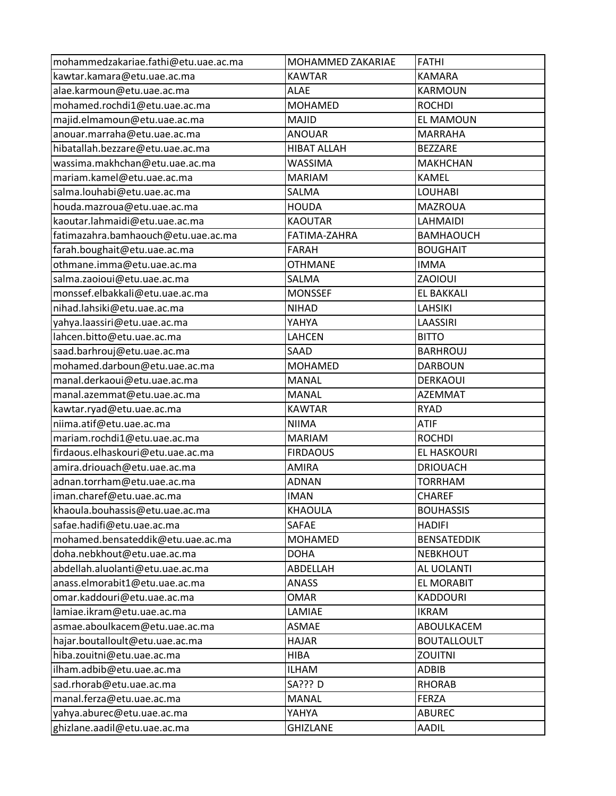| mohammedzakariae.fathi@etu.uae.ac.ma | MOHAMMED ZAKARIAE  | <b>FATHI</b>       |
|--------------------------------------|--------------------|--------------------|
| kawtar.kamara@etu.uae.ac.ma          | <b>KAWTAR</b>      | <b>KAMARA</b>      |
| alae.karmoun@etu.uae.ac.ma           | <b>ALAE</b>        | <b>KARMOUN</b>     |
| mohamed.rochdi1@etu.uae.ac.ma        | <b>MOHAMED</b>     | <b>ROCHDI</b>      |
| majid.elmamoun@etu.uae.ac.ma         | MAJID              | EL MAMOUN          |
| anouar.marraha@etu.uae.ac.ma         | <b>ANOUAR</b>      | <b>MARRAHA</b>     |
| hibatallah.bezzare@etu.uae.ac.ma     | <b>HIBAT ALLAH</b> | <b>BEZZARE</b>     |
| wassima.makhchan@etu.uae.ac.ma       | <b>WASSIMA</b>     | <b>MAKHCHAN</b>    |
| mariam.kamel@etu.uae.ac.ma           | <b>MARIAM</b>      | <b>KAMEL</b>       |
| salma.louhabi@etu.uae.ac.ma          | SALMA              | <b>LOUHABI</b>     |
| houda.mazroua@etu.uae.ac.ma          | <b>HOUDA</b>       | MAZROUA            |
| kaoutar.lahmaidi@etu.uae.ac.ma       | <b>KAOUTAR</b>     | LAHMAIDI           |
| fatimazahra.bamhaouch@etu.uae.ac.ma  | FATIMA-ZAHRA       | <b>BAMHAOUCH</b>   |
| farah.boughait@etu.uae.ac.ma         | FARAH              | <b>BOUGHAIT</b>    |
| othmane.imma@etu.uae.ac.ma           | <b>OTHMANE</b>     | <b>IMMA</b>        |
| salma.zaoioui@etu.uae.ac.ma          | SALMA              | ZAOIOUI            |
| monssef.elbakkali@etu.uae.ac.ma      | <b>MONSSEF</b>     | EL BAKKALI         |
| nihad.lahsiki@etu.uae.ac.ma          | <b>NIHAD</b>       | <b>LAHSIKI</b>     |
| yahya.laassiri@etu.uae.ac.ma         | YAHYA              | LAASSIRI           |
| lahcen.bitto@etu.uae.ac.ma           | LAHCEN             | <b>BITTO</b>       |
| saad.barhrouj@etu.uae.ac.ma          | SAAD               | <b>BARHROUJ</b>    |
| mohamed.darboun@etu.uae.ac.ma        | <b>MOHAMED</b>     | <b>DARBOUN</b>     |
| manal.derkaoui@etu.uae.ac.ma         | <b>MANAL</b>       | <b>DERKAOUI</b>    |
| manal.azemmat@etu.uae.ac.ma          | <b>MANAL</b>       | <b>AZEMMAT</b>     |
| kawtar.ryad@etu.uae.ac.ma            | <b>KAWTAR</b>      | <b>RYAD</b>        |
| niima.atif@etu.uae.ac.ma             | <b>NIIMA</b>       | <b>ATIF</b>        |
| mariam.rochdi1@etu.uae.ac.ma         | <b>MARIAM</b>      | <b>ROCHDI</b>      |
| firdaous.elhaskouri@etu.uae.ac.ma    | <b>FIRDAOUS</b>    | <b>EL HASKOURI</b> |
| amira.driouach@etu.uae.ac.ma         | AMIRA              | <b>DRIOUACH</b>    |
| adnan.torrham@etu.uae.ac.ma          | <b>ADNAN</b>       | <b>TORRHAM</b>     |
| iman.charef@etu.uae.ac.ma            | <b>IMAN</b>        | <b>CHAREF</b>      |
| khaoula.bouhassis@etu.uae.ac.ma      | <b>KHAOULA</b>     | <b>BOUHASSIS</b>   |
| safae.hadifi@etu.uae.ac.ma           | SAFAE              | <b>HADIFI</b>      |
| mohamed.bensateddik@etu.uae.ac.ma    | <b>MOHAMED</b>     | <b>BENSATEDDIK</b> |
| doha.nebkhout@etu.uae.ac.ma          | <b>DOHA</b>        | <b>NEBKHOUT</b>    |
| abdellah.aluolanti@etu.uae.ac.ma     | ABDELLAH           | AL UOLANTI         |
| anass.elmorabit1@etu.uae.ac.ma       | ANASS              | EL MORABIT         |
| omar.kaddouri@etu.uae.ac.ma          | <b>OMAR</b>        | <b>KADDOURI</b>    |
| lamiae.ikram@etu.uae.ac.ma           | LAMIAE             | <b>IKRAM</b>       |
| asmae.aboulkacem@etu.uae.ac.ma       | <b>ASMAE</b>       | ABOULKACEM         |
| hajar.boutalloult@etu.uae.ac.ma      | <b>HAJAR</b>       | <b>BOUTALLOULT</b> |
| hiba.zouitni@etu.uae.ac.ma           | <b>HIBA</b>        | <b>ZOUITNI</b>     |
| ilham.adbib@etu.uae.ac.ma            | <b>ILHAM</b>       | <b>ADBIB</b>       |
| sad.rhorab@etu.uae.ac.ma             | SA??? D            | <b>RHORAB</b>      |
| manal.ferza@etu.uae.ac.ma            | <b>MANAL</b>       | FERZA              |
| yahya.aburec@etu.uae.ac.ma           | YAHYA              | <b>ABUREC</b>      |
| ghizlane.aadil@etu.uae.ac.ma         | GHIZLANE           | AADIL              |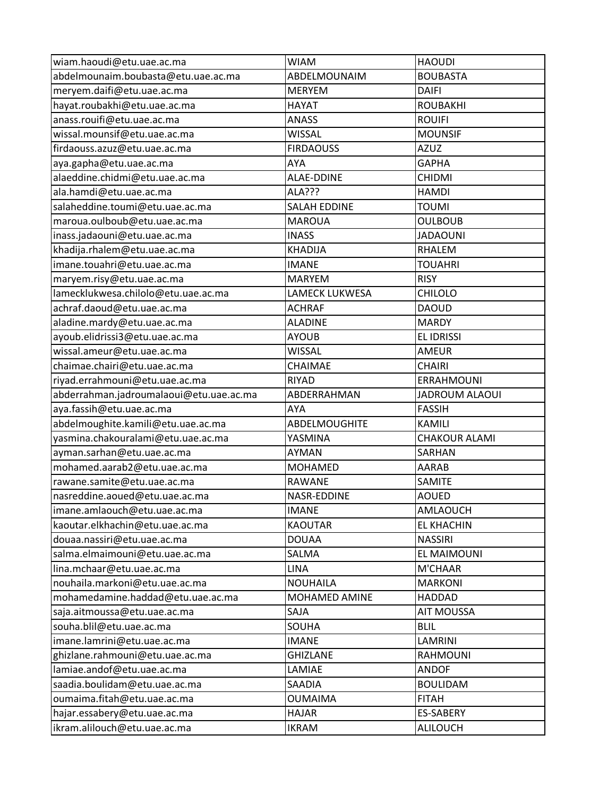| wiam.haoudi@etu.uae.ac.ma               | <b>WIAM</b>           | <b>HAOUDI</b>         |
|-----------------------------------------|-----------------------|-----------------------|
| abdelmounaim.boubasta@etu.uae.ac.ma     | ABDELMOUNAIM          | <b>BOUBASTA</b>       |
| meryem.daifi@etu.uae.ac.ma              | <b>MERYEM</b>         | <b>DAIFI</b>          |
| hayat.roubakhi@etu.uae.ac.ma            | <b>HAYAT</b>          | <b>ROUBAKHI</b>       |
| anass.rouifi@etu.uae.ac.ma              | <b>ANASS</b>          | <b>ROUIFI</b>         |
| wissal.mounsif@etu.uae.ac.ma            | <b>WISSAL</b>         | <b>MOUNSIF</b>        |
| firdaouss.azuz@etu.uae.ac.ma            | <b>FIRDAOUSS</b>      | <b>AZUZ</b>           |
| aya.gapha@etu.uae.ac.ma                 | AYA                   | <b>GAPHA</b>          |
| alaeddine.chidmi@etu.uae.ac.ma          | <b>ALAE-DDINE</b>     | <b>CHIDMI</b>         |
| ala.hamdi@etu.uae.ac.ma                 | ALA???                | <b>HAMDI</b>          |
| salaheddine.toumi@etu.uae.ac.ma         | <b>SALAH EDDINE</b>   | <b>TOUMI</b>          |
| maroua.oulboub@etu.uae.ac.ma            | <b>MAROUA</b>         | <b>OULBOUB</b>        |
| inass.jadaouni@etu.uae.ac.ma            | <b>INASS</b>          | <b>JADAOUNI</b>       |
| khadija.rhalem@etu.uae.ac.ma            | <b>KHADIJA</b>        | RHALEM                |
| imane.touahri@etu.uae.ac.ma             | <b>IMANE</b>          | <b>TOUAHRI</b>        |
| maryem.risy@etu.uae.ac.ma               | <b>MARYEM</b>         | <b>RISY</b>           |
| lamecklukwesa.chilolo@etu.uae.ac.ma     | <b>LAMECK LUKWESA</b> | CHILOLO               |
| achraf.daoud@etu.uae.ac.ma              | <b>ACHRAF</b>         | <b>DAOUD</b>          |
| aladine.mardy@etu.uae.ac.ma             | <b>ALADINE</b>        | <b>MARDY</b>          |
| ayoub.elidrissi3@etu.uae.ac.ma          | <b>AYOUB</b>          | <b>EL IDRISSI</b>     |
| wissal.ameur@etu.uae.ac.ma              | <b>WISSAL</b>         | <b>AMEUR</b>          |
| chaimae.chairi@etu.uae.ac.ma            | CHAIMAE               | <b>CHAIRI</b>         |
| riyad.errahmouni@etu.uae.ac.ma          | <b>RIYAD</b>          | <b>ERRAHMOUNI</b>     |
| abderrahman.jadroumalaoui@etu.uae.ac.ma | ABDERRAHMAN           | <b>JADROUM ALAOUI</b> |
| aya.fassih@etu.uae.ac.ma                | AYA                   | <b>FASSIH</b>         |
| abdelmoughite.kamili@etu.uae.ac.ma      | ABDELMOUGHITE         | <b>KAMILI</b>         |
| yasmina.chakouralami@etu.uae.ac.ma      | YASMINA               | <b>CHAKOUR ALAMI</b>  |
| ayman.sarhan@etu.uae.ac.ma              | AYMAN                 | SARHAN                |
| mohamed.aarab2@etu.uae.ac.ma            | <b>MOHAMED</b>        | AARAB                 |
| rawane.samite@etu.uae.ac.ma             | <b>RAWANE</b>         | SAMITE                |
| nasreddine.aoued@etu.uae.ac.ma          | NASR-EDDINE           | <b>AOUED</b>          |
| imane.amlaouch@etu.uae.ac.ma            | <b>IMANE</b>          | AMLAOUCH              |
|                                         |                       | <b>EL KHACHIN</b>     |
| kaoutar.elkhachin@etu.uae.ac.ma         | <b>KAOUTAR</b>        |                       |
| douaa.nassiri@etu.uae.ac.ma             | <b>DOUAA</b>          | <b>NASSIRI</b>        |
| salma.elmaimouni@etu.uae.ac.ma          | SALMA                 | EL MAIMOUNI           |
| lina.mchaar@etu.uae.ac.ma               | <b>LINA</b>           | M'CHAAR               |
| nouhaila.markoni@etu.uae.ac.ma          | <b>NOUHAILA</b>       | <b>MARKONI</b>        |
| mohamedamine.haddad@etu.uae.ac.ma       | MOHAMED AMINE         | <b>HADDAD</b>         |
| saja.aitmoussa@etu.uae.ac.ma            | SAJA                  | <b>AIT MOUSSA</b>     |
| souha.blil@etu.uae.ac.ma                | SOUHA                 | <b>BLIL</b>           |
| imane.lamrini@etu.uae.ac.ma             | <b>IMANE</b>          | LAMRINI               |
| ghizlane.rahmouni@etu.uae.ac.ma         | <b>GHIZLANE</b>       | RAHMOUNI              |
| lamiae.andof@etu.uae.ac.ma              | LAMIAE                | <b>ANDOF</b>          |
| saadia.boulidam@etu.uae.ac.ma           | SAADIA                | <b>BOULIDAM</b>       |
| oumaima.fitah@etu.uae.ac.ma             | <b>OUMAIMA</b>        | <b>FITAH</b>          |
| hajar.essabery@etu.uae.ac.ma            | <b>HAJAR</b>          | <b>ES-SABERY</b>      |
| ikram.alilouch@etu.uae.ac.ma            | <b>IKRAM</b>          | ALILOUCH              |